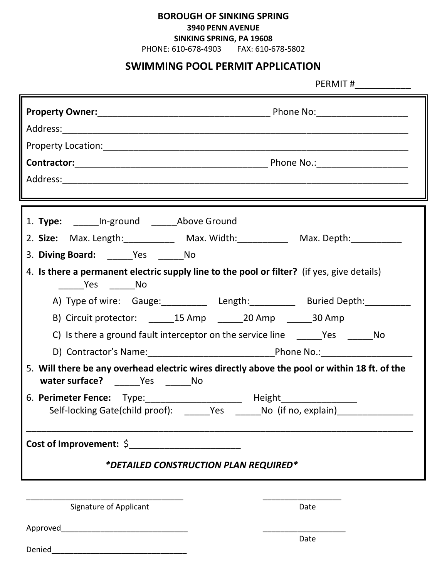## **BOROUGH OF SINKING SPRING**

#### **3940 PENN AVENUE**

### **SINKING SPRING, PA 19608**

PHONE: 610-678-4903 FAX: 610-678-5802

# **SWIMMING POOL PERMIT APPLICATION**

PERMIT #\_\_\_\_\_\_\_\_\_\_\_

| 1. Type: ______In-ground ______Above Ground<br>2. Size: Max. Length: ___________ Max. Width: __________ Max. Depth: ___________    |             |  |  |  |
|------------------------------------------------------------------------------------------------------------------------------------|-------------|--|--|--|
| 3. Diving Board: Yes No                                                                                                            |             |  |  |  |
| 4. Is there a permanent electric supply line to the pool or filter? (if yes, give details)<br>_______Yes ________No                |             |  |  |  |
| A) Type of wire: Gauge: _____________ Length: ____________ Buried Depth: ________                                                  |             |  |  |  |
| B) Circuit protector: _______15 Amp _______20 Amp _______30 Amp                                                                    |             |  |  |  |
| C) Is there a ground fault interceptor on the service line ________Yes _________No                                                 |             |  |  |  |
|                                                                                                                                    |             |  |  |  |
| 5. Will there be any overhead electric wires directly above the pool or within 18 ft. of the<br>water surface? ______Yes _______No |             |  |  |  |
| 6. Perimeter Fence: Type: ______________________ Height_________________________                                                   |             |  |  |  |
| Self-locking Gate(child proof): ______Yes _______No (if no, explain)____________                                                   |             |  |  |  |
| Cost of Improvement: $\oint$<br>*DETAILED CONSTRUCTION PLAN REQUIRED*                                                              |             |  |  |  |
|                                                                                                                                    |             |  |  |  |
| Signature of Applicant                                                                                                             | Date        |  |  |  |
|                                                                                                                                    | <b>Date</b> |  |  |  |

| Denied |  |  |
|--------|--|--|
|        |  |  |